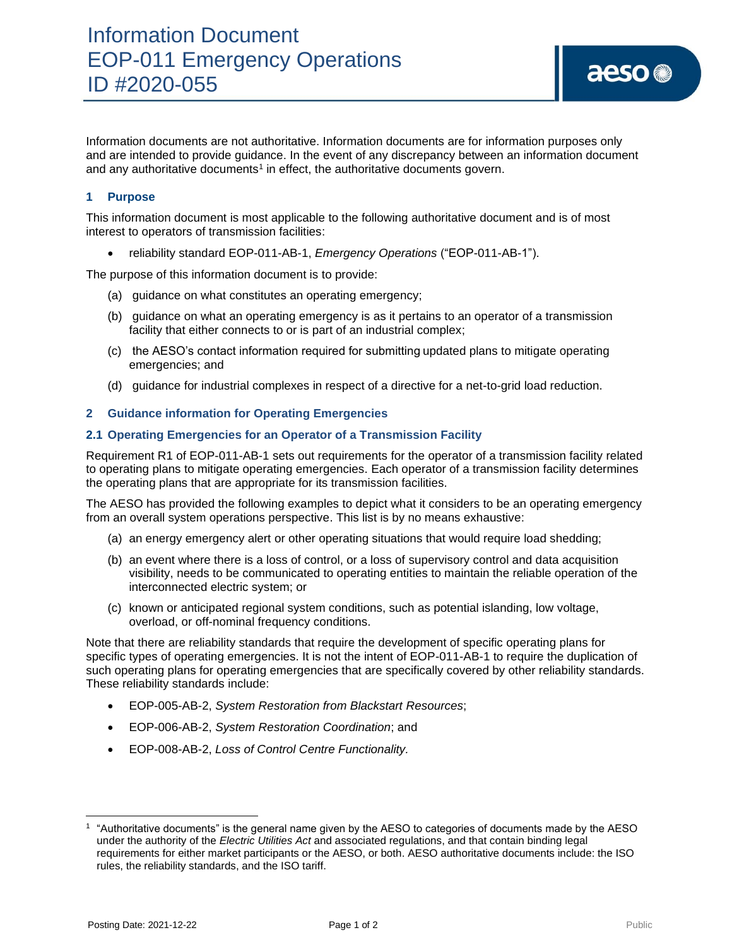# **1 Purpose**

This information document is most applicable to the following authoritative document and is of most interest to operators of transmission facilities:

• reliability standard EOP-011-AB-1, *Emergency Operations* ("EOP-011-AB-1").

The purpose of this information document is to provide:

- (a) guidance on what constitutes an operating emergency;
- (b) guidance on what an operating emergency is as it pertains to an operator of a transmission facility that either connects to or is part of an industrial complex;
- (c) the AESO's contact information required for submitting updated plans to mitigate operating emergencies; and
- (d) guidance for industrial complexes in respect of a directive for a net-to-grid load reduction.

## **2 Guidance information for Operating Emergencies**

## **2.1 Operating Emergencies for an Operator of a Transmission Facility**

Requirement R1 of EOP-011-AB-1 sets out requirements for the operator of a transmission facility related to operating plans to mitigate operating emergencies. Each operator of a transmission facility determines the operating plans that are appropriate for its transmission facilities.

The AESO has provided the following examples to depict what it considers to be an operating emergency from an overall system operations perspective. This list is by no means exhaustive:

- (a) an energy emergency alert or other operating situations that would require load shedding;
- (b) an event where there is a loss of control, or a loss of supervisory control and data acquisition visibility, needs to be communicated to operating entities to maintain the reliable operation of the interconnected electric system; or
- (c) known or anticipated regional system conditions, such as potential islanding, low voltage, overload, or off-nominal frequency conditions.

Note that there are reliability standards that require the development of specific operating plans for specific types of operating emergencies. It is not the intent of EOP-011-AB-1 to require the duplication of such operating plans for operating emergencies that are specifically covered by other reliability standards. These reliability standards include:

- EOP-005-AB-2, *System Restoration from Blackstart Resources*;
- EOP-006-AB-2, *System Restoration Coordination*; and
- EOP-008-AB-2, *Loss of Control Centre Functionality.*

aeso<sup>®</sup>

<sup>1</sup> "Authoritative documents" is the general name given by the AESO to categories of documents made by the AESO under the authority of the *Electric Utilities Act* and associated regulations, and that contain binding legal requirements for either market participants or the AESO, or both. AESO authoritative documents include: the ISO rules, the reliability standards, and the ISO tariff.